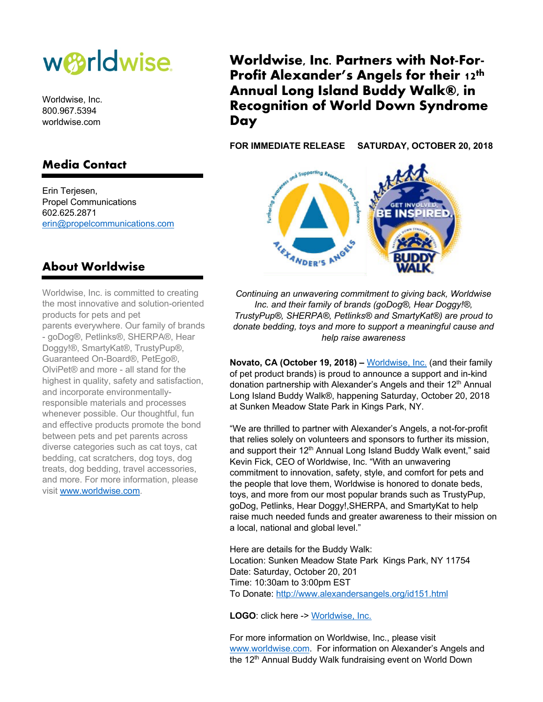

Worldwise, Inc. 800.967.5394 worldwise.com

## **Media Contact**

Erin Terjesen, Propel Communications 602.625.2871 erin@propelcommunications.com

## **Worldwise, Inc. Partners with Not-For-Profit Alexander's Angels for their 12th Annual Long Island Buddy Walk®, in Recognition of World Down Syndrome Day**

**FOR IMMEDIATE RELEASE SATURDAY, OCTOBER 20, 2018**



**About Worldwise**

Worldwise, Inc. is committed to creating the most innovative and solution-oriented products for pets and pet parents everywhere. Our family of brands - goDog®, Petlinks®, SHERPA®, Hear Doggy!®, SmartyKat®, TrustyPup®, Guaranteed On-Board®, PetEgo®, OlviPet® and more - all stand for the highest in quality, safety and satisfaction, and incorporate environmentallyresponsible materials and processes whenever possible. Our thoughtful, fun and effective products promote the bond between pets and pet parents across diverse categories such as cat toys, cat bedding, cat scratchers, dog toys, dog treats, dog bedding, travel accessories, and more. For more information, please visit www.worldwise.com.

*Continuing an unwavering commitment to giving back, Worldwise Inc. and their family of brands (goDog®, Hear Doggy!®, TrustyPup®, SHERPA®, Petlinks® and SmartyKat®) are proud to donate bedding, toys and more to support a meaningful cause and help raise awareness*

**Novato, CA (October 19, 2018) –** Worldwise, Inc. (and their family of pet product brands) is proud to announce a support and in-kind donation partnership with Alexander's Angels and their 12<sup>th</sup> Annual Long Island Buddy Walk®, happening Saturday, October 20, 2018 at Sunken Meadow State Park in Kings Park, NY.

"We are thrilled to partner with Alexander's Angels, a not-for-profit that relies solely on volunteers and sponsors to further its mission, and support their 12<sup>th</sup> Annual Long Island Buddy Walk event," said Kevin Fick, CEO of Worldwise, Inc. "With an unwavering commitment to innovation, safety, style, and comfort for pets and the people that love them, Worldwise is honored to donate beds, toys, and more from our most popular brands such as TrustyPup, goDog, Petlinks, Hear Doggy!,SHERPA, and SmartyKat to help raise much needed funds and greater awareness to their mission on a local, national and global level."

Here are details for the Buddy Walk: Location: Sunken Meadow State Park Kings Park, NY 11754 Date: Saturday, October 20, 201 Time: 10:30am to 3:00pm EST To Donate: http://www.alexandersangels.org/id151.html

**LOGO**: click here -> Worldwise, Inc.

For more information on Worldwise, Inc., please visit www.worldwise.com. For information on Alexander's Angels and the 12<sup>th</sup> Annual Buddy Walk fundraising event on World Down